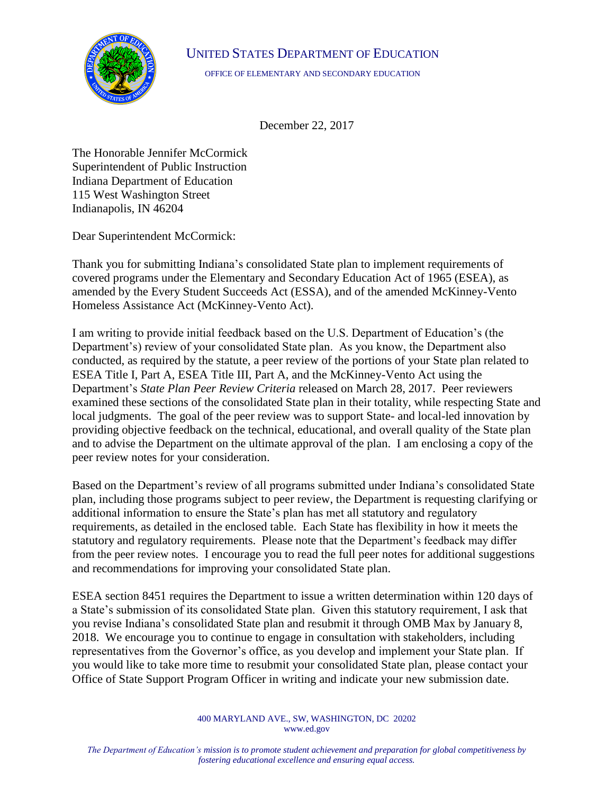## UNITED STATES DEPARTMENT OF EDUCATION



OFFICE OF ELEMENTARY AND SECONDARY EDUCATION

December 22, 2017

The Honorable Jennifer McCormick Superintendent of Public Instruction Indiana Department of Education 115 West Washington Street Indianapolis, IN 46204

Dear Superintendent McCormick:

Thank you for submitting Indiana's consolidated State plan to implement requirements of covered programs under the Elementary and Secondary Education Act of 1965 (ESEA), as amended by the Every Student Succeeds Act (ESSA), and of the amended McKinney-Vento Homeless Assistance Act (McKinney-Vento Act).

I am writing to provide initial feedback based on the U.S. Department of Education's (the Department's) review of your consolidated State plan. As you know, the Department also conducted, as required by the statute, a peer review of the portions of your State plan related to ESEA Title I, Part A, ESEA Title III, Part A, and the McKinney-Vento Act using the Department's *State Plan Peer Review Criteria* released on March 28, 2017. Peer reviewers examined these sections of the consolidated State plan in their totality, while respecting State and local judgments. The goal of the peer review was to support State- and local-led innovation by providing objective feedback on the technical, educational, and overall quality of the State plan and to advise the Department on the ultimate approval of the plan. I am enclosing a copy of the peer review notes for your consideration.

Based on the Department's review of all programs submitted under Indiana's consolidated State plan, including those programs subject to peer review, the Department is requesting clarifying or additional information to ensure the State's plan has met all statutory and regulatory requirements, as detailed in the enclosed table. Each State has flexibility in how it meets the statutory and regulatory requirements. Please note that the Department's feedback may differ from the peer review notes. I encourage you to read the full peer notes for additional suggestions and recommendations for improving your consolidated State plan.

ESEA section 8451 requires the Department to issue a written determination within 120 days of a State's submission of its consolidated State plan. Given this statutory requirement, I ask that you revise Indiana's consolidated State plan and resubmit it through OMB Max by January 8, 2018. We encourage you to continue to engage in consultation with stakeholders, including representatives from the Governor's office, as you develop and implement your State plan. If you would like to take more time to resubmit your consolidated State plan, please contact your Office of State Support Program Officer in writing and indicate your new submission date.

> 400 MARYLAND AVE., SW, WASHINGTON, DC 20202 www.ed.gov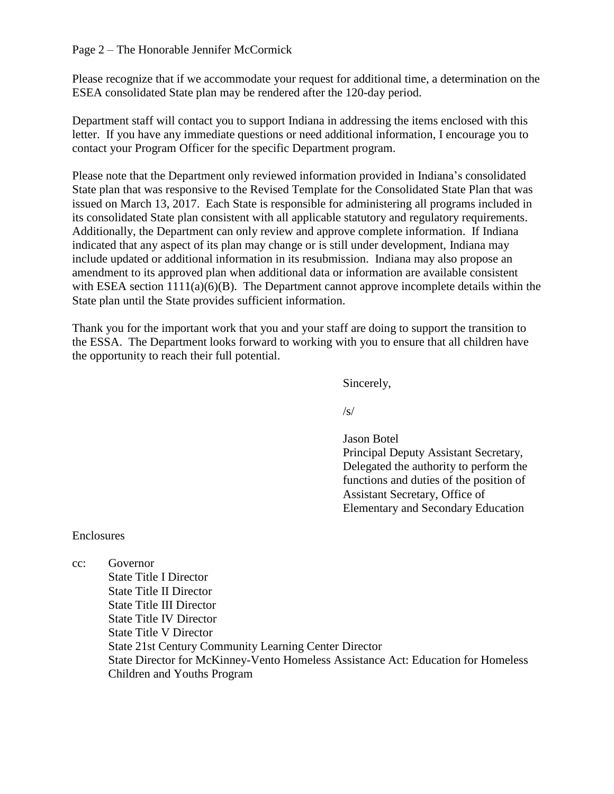Page 2 – The Honorable Jennifer McCormick

Please recognize that if we accommodate your request for additional time, a determination on the ESEA consolidated State plan may be rendered after the 120-day period.

Department staff will contact you to support Indiana in addressing the items enclosed with this letter. If you have any immediate questions or need additional information, I encourage you to contact your Program Officer for the specific Department program.

Please note that the Department only reviewed information provided in Indiana's consolidated State plan that was responsive to the Revised Template for the Consolidated State Plan that was issued on March 13, 2017. Each State is responsible for administering all programs included in its consolidated State plan consistent with all applicable statutory and regulatory requirements. Additionally, the Department can only review and approve complete information. If Indiana indicated that any aspect of its plan may change or is still under development, Indiana may include updated or additional information in its resubmission. Indiana may also propose an amendment to its approved plan when additional data or information are available consistent with ESEA section  $1111(a)(6)(B)$ . The Department cannot approve incomplete details within the State plan until the State provides sufficient information.

Thank you for the important work that you and your staff are doing to support the transition to the ESSA. The Department looks forward to working with you to ensure that all children have the opportunity to reach their full potential.

Sincerely,

 $\sqrt{s}$ 

Jason Botel Principal Deputy Assistant Secretary, Delegated the authority to perform the functions and duties of the position of Assistant Secretary, Office of Elementary and Secondary Education

## Enclosures

cc: Governor State Title I Director State Title II Director State Title III Director State Title IV Director State Title V Director State 21st Century Community Learning Center Director State Director for McKinney-Vento Homeless Assistance Act: Education for Homeless Children and Youths Program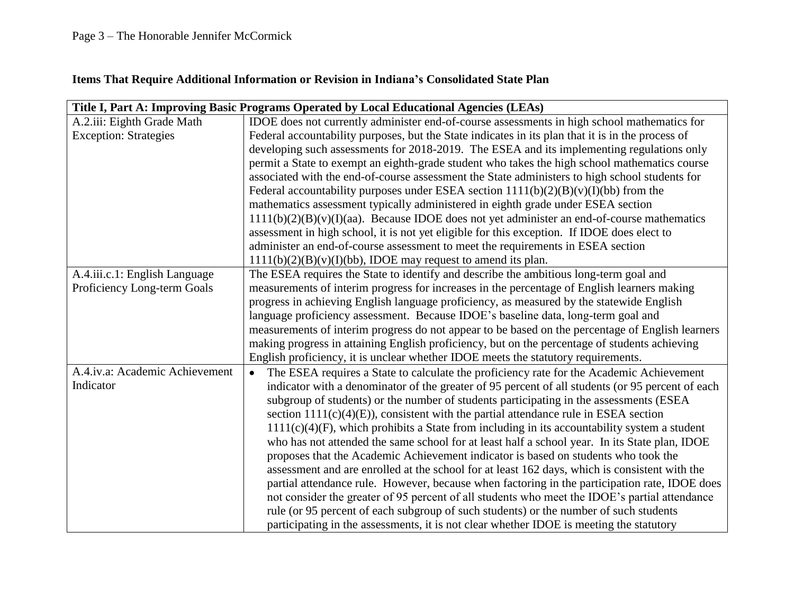## **Items That Require Additional Information or Revision in Indiana's Consolidated State Plan**

|                                | Title I, Part A: Improving Basic Programs Operated by Local Educational Agencies (LEAs)               |
|--------------------------------|-------------------------------------------------------------------------------------------------------|
| A.2.iii: Eighth Grade Math     | IDOE does not currently administer end-of-course assessments in high school mathematics for           |
| <b>Exception: Strategies</b>   | Federal accountability purposes, but the State indicates in its plan that it is in the process of     |
|                                | developing such assessments for 2018-2019. The ESEA and its implementing regulations only             |
|                                | permit a State to exempt an eighth-grade student who takes the high school mathematics course         |
|                                | associated with the end-of-course assessment the State administers to high school students for        |
|                                | Federal accountability purposes under ESEA section $1111(b)(2)(B)(v)(I)(bb)$ from the                 |
|                                | mathematics assessment typically administered in eighth grade under ESEA section                      |
|                                | $1111(b)(2)(B)(v)(I)(aa)$ . Because IDOE does not yet administer an end-of-course mathematics         |
|                                | assessment in high school, it is not yet eligible for this exception. If IDOE does elect to           |
|                                | administer an end-of-course assessment to meet the requirements in ESEA section                       |
|                                | $1111(b)(2)(B)(v)(I)(bb)$ , IDOE may request to amend its plan.                                       |
| A.4.iii.c.1: English Language  | The ESEA requires the State to identify and describe the ambitious long-term goal and                 |
| Proficiency Long-term Goals    | measurements of interim progress for increases in the percentage of English learners making           |
|                                | progress in achieving English language proficiency, as measured by the statewide English              |
|                                | language proficiency assessment. Because IDOE's baseline data, long-term goal and                     |
|                                | measurements of interim progress do not appear to be based on the percentage of English learners      |
|                                | making progress in attaining English proficiency, but on the percentage of students achieving         |
|                                | English proficiency, it is unclear whether IDOE meets the statutory requirements.                     |
| A.4.iv.a: Academic Achievement | The ESEA requires a State to calculate the proficiency rate for the Academic Achievement<br>$\bullet$ |
| Indicator                      | indicator with a denominator of the greater of 95 percent of all students (or 95 percent of each      |
|                                | subgroup of students) or the number of students participating in the assessments (ESEA                |
|                                | section $1111(c)(4)(E)$ , consistent with the partial attendance rule in ESEA section                 |
|                                | $1111(c)(4)(F)$ , which prohibits a State from including in its accountability system a student       |
|                                | who has not attended the same school for at least half a school year. In its State plan, IDOE         |
|                                | proposes that the Academic Achievement indicator is based on students who took the                    |
|                                | assessment and are enrolled at the school for at least 162 days, which is consistent with the         |
|                                | partial attendance rule. However, because when factoring in the participation rate, IDOE does         |
|                                | not consider the greater of 95 percent of all students who meet the IDOE's partial attendance         |
|                                | rule (or 95 percent of each subgroup of such students) or the number of such students                 |
|                                | participating in the assessments, it is not clear whether IDOE is meeting the statutory               |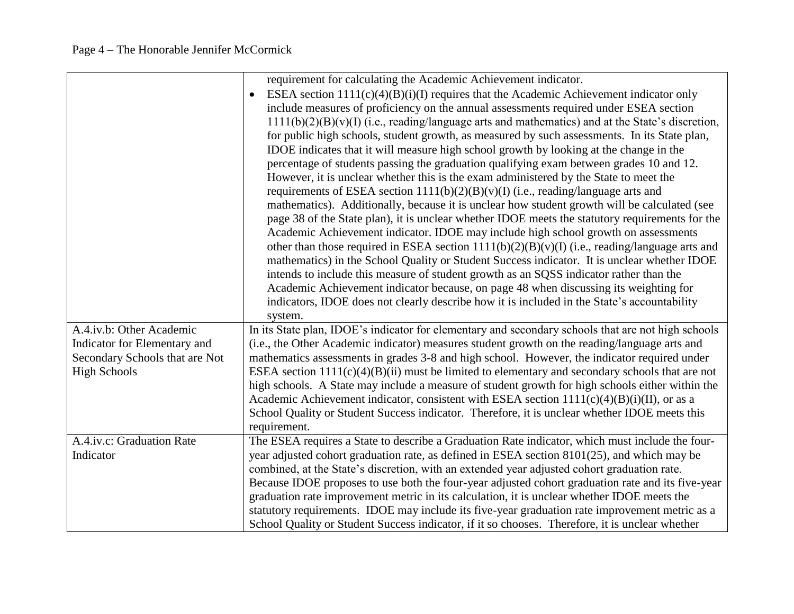|                                | requirement for calculating the Academic Achievement indicator.                                    |
|--------------------------------|----------------------------------------------------------------------------------------------------|
|                                | ESEA section $1111(c)(4)(B)(i)(I)$ requires that the Academic Achievement indicator only           |
|                                | include measures of proficiency on the annual assessments required under ESEA section              |
|                                | $1111(b)(2)(B)(v)(I)$ (i.e., reading/language arts and mathematics) and at the State's discretion, |
|                                | for public high schools, student growth, as measured by such assessments. In its State plan,       |
|                                | IDOE indicates that it will measure high school growth by looking at the change in the             |
|                                | percentage of students passing the graduation qualifying exam between grades 10 and 12.            |
|                                | However, it is unclear whether this is the exam administered by the State to meet the              |
|                                | requirements of ESEA section $1111(b)(2)(B)(v)(I)$ (i.e., reading/language arts and                |
|                                | mathematics). Additionally, because it is unclear how student growth will be calculated (see       |
|                                | page 38 of the State plan), it is unclear whether IDOE meets the statutory requirements for the    |
|                                | Academic Achievement indicator. IDOE may include high school growth on assessments                 |
|                                | other than those required in ESEA section $1111(b)(2)(B)(v)(I)$ (i.e., reading/language arts and   |
|                                | mathematics) in the School Quality or Student Success indicator. It is unclear whether IDOE        |
|                                | intends to include this measure of student growth as an SQSS indicator rather than the             |
|                                | Academic Achievement indicator because, on page 48 when discussing its weighting for               |
|                                | indicators, IDOE does not clearly describe how it is included in the State's accountability        |
|                                | system.                                                                                            |
| A.4.iv.b: Other Academic       | In its State plan, IDOE's indicator for elementary and secondary schools that are not high schools |
| Indicator for Elementary and   | (i.e., the Other Academic indicator) measures student growth on the reading/language arts and      |
| Secondary Schools that are Not | mathematics assessments in grades 3-8 and high school. However, the indicator required under       |
| <b>High Schools</b>            | ESEA section $1111(c)(4)(B)(ii)$ must be limited to elementary and secondary schools that are not  |
|                                | high schools. A State may include a measure of student growth for high schools either within the   |
|                                | Academic Achievement indicator, consistent with ESEA section $1111(c)(4)(B)(i)(II)$ , or as a      |
|                                | School Quality or Student Success indicator. Therefore, it is unclear whether IDOE meets this      |
|                                | requirement.                                                                                       |
| A.4.iv.c: Graduation Rate      | The ESEA requires a State to describe a Graduation Rate indicator, which must include the four-    |
| Indicator                      | year adjusted cohort graduation rate, as defined in ESEA section $8101(25)$ , and which may be     |
|                                | combined, at the State's discretion, with an extended year adjusted cohort graduation rate.        |
|                                | Because IDOE proposes to use both the four-year adjusted cohort graduation rate and its five-year  |
|                                | graduation rate improvement metric in its calculation, it is unclear whether IDOE meets the        |
|                                | statutory requirements. IDOE may include its five-year graduation rate improvement metric as a     |
|                                | School Quality or Student Success indicator, if it so chooses. Therefore, it is unclear whether    |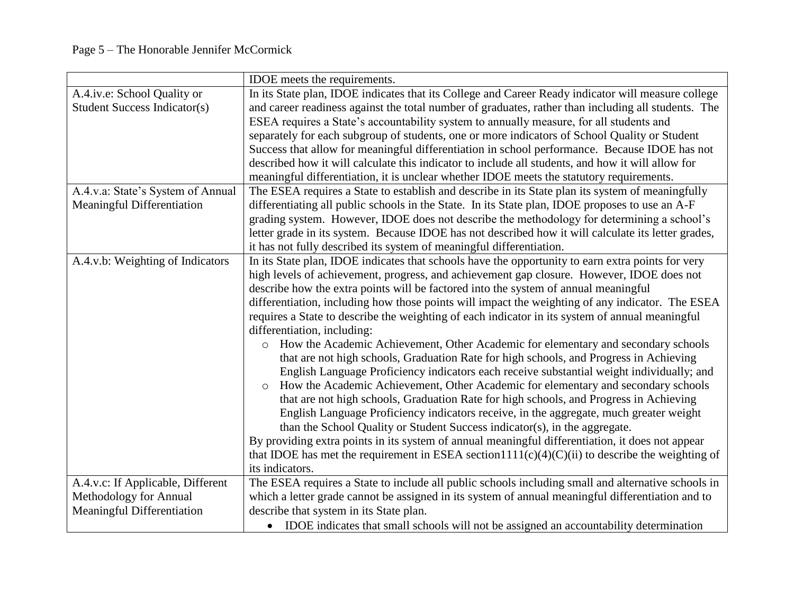|                                     | IDOE meets the requirements.                                                                        |
|-------------------------------------|-----------------------------------------------------------------------------------------------------|
| A.4.iv.e: School Quality or         | In its State plan, IDOE indicates that its College and Career Ready indicator will measure college  |
| <b>Student Success Indicator(s)</b> | and career readiness against the total number of graduates, rather than including all students. The |
|                                     | ESEA requires a State's accountability system to annually measure, for all students and             |
|                                     | separately for each subgroup of students, one or more indicators of School Quality or Student       |
|                                     | Success that allow for meaningful differentiation in school performance. Because IDOE has not       |
|                                     | described how it will calculate this indicator to include all students, and how it will allow for   |
|                                     | meaningful differentiation, it is unclear whether IDOE meets the statutory requirements.            |
| A.4.v.a: State's System of Annual   | The ESEA requires a State to establish and describe in its State plan its system of meaningfully    |
| Meaningful Differentiation          | differentiating all public schools in the State. In its State plan, IDOE proposes to use an A-F     |
|                                     | grading system. However, IDOE does not describe the methodology for determining a school's          |
|                                     | letter grade in its system. Because IDOE has not described how it will calculate its letter grades, |
|                                     | it has not fully described its system of meaningful differentiation.                                |
| A.4.v.b: Weighting of Indicators    | In its State plan, IDOE indicates that schools have the opportunity to earn extra points for very   |
|                                     | high levels of achievement, progress, and achievement gap closure. However, IDOE does not           |
|                                     | describe how the extra points will be factored into the system of annual meaningful                 |
|                                     | differentiation, including how those points will impact the weighting of any indicator. The ESEA    |
|                                     | requires a State to describe the weighting of each indicator in its system of annual meaningful     |
|                                     | differentiation, including:                                                                         |
|                                     | How the Academic Achievement, Other Academic for elementary and secondary schools<br>$\circ$        |
|                                     | that are not high schools, Graduation Rate for high schools, and Progress in Achieving              |
|                                     | English Language Proficiency indicators each receive substantial weight individually; and           |
|                                     | How the Academic Achievement, Other Academic for elementary and secondary schools<br>$\circ$        |
|                                     | that are not high schools, Graduation Rate for high schools, and Progress in Achieving              |
|                                     | English Language Proficiency indicators receive, in the aggregate, much greater weight              |
|                                     | than the School Quality or Student Success indicator(s), in the aggregate.                          |
|                                     | By providing extra points in its system of annual meaningful differentiation, it does not appear    |
|                                     | that IDOE has met the requirement in ESEA section1111(c)(4)(C)(ii) to describe the weighting of     |
|                                     | its indicators.                                                                                     |
| A.4.v.c: If Applicable, Different   | The ESEA requires a State to include all public schools including small and alternative schools in  |
| Methodology for Annual              | which a letter grade cannot be assigned in its system of annual meaningful differentiation and to   |
| Meaningful Differentiation          | describe that system in its State plan.                                                             |
|                                     | • IDOE indicates that small schools will not be assigned an accountability determination            |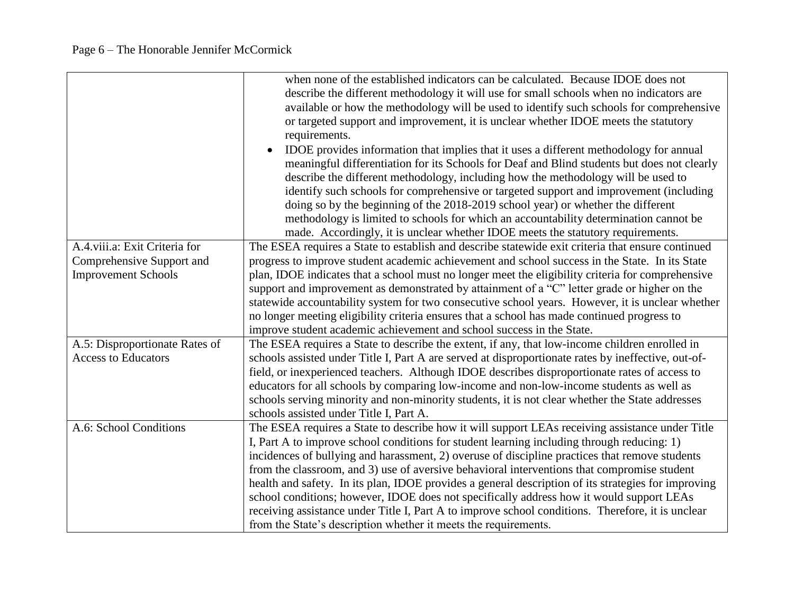|                                | when none of the established indicators can be calculated. Because IDOE does not                    |
|--------------------------------|-----------------------------------------------------------------------------------------------------|
|                                | describe the different methodology it will use for small schools when no indicators are             |
|                                | available or how the methodology will be used to identify such schools for comprehensive            |
|                                | or targeted support and improvement, it is unclear whether IDOE meets the statutory                 |
|                                | requirements.                                                                                       |
|                                | IDOE provides information that implies that it uses a different methodology for annual              |
|                                | meaningful differentiation for its Schools for Deaf and Blind students but does not clearly         |
|                                | describe the different methodology, including how the methodology will be used to                   |
|                                | identify such schools for comprehensive or targeted support and improvement (including              |
|                                | doing so by the beginning of the 2018-2019 school year) or whether the different                    |
|                                | methodology is limited to schools for which an accountability determination cannot be               |
|                                | made. Accordingly, it is unclear whether IDOE meets the statutory requirements.                     |
| A.4.viii.a: Exit Criteria for  | The ESEA requires a State to establish and describe statewide exit criteria that ensure continued   |
| Comprehensive Support and      | progress to improve student academic achievement and school success in the State. In its State      |
| <b>Improvement Schools</b>     | plan, IDOE indicates that a school must no longer meet the eligibility criteria for comprehensive   |
|                                | support and improvement as demonstrated by attainment of a "C" letter grade or higher on the        |
|                                | statewide accountability system for two consecutive school years. However, it is unclear whether    |
|                                | no longer meeting eligibility criteria ensures that a school has made continued progress to         |
|                                | improve student academic achievement and school success in the State.                               |
| A.5: Disproportionate Rates of | The ESEA requires a State to describe the extent, if any, that low-income children enrolled in      |
| <b>Access to Educators</b>     | schools assisted under Title I, Part A are served at disproportionate rates by ineffective, out-of- |
|                                | field, or inexperienced teachers. Although IDOE describes disproportionate rates of access to       |
|                                | educators for all schools by comparing low-income and non-low-income students as well as            |
|                                | schools serving minority and non-minority students, it is not clear whether the State addresses     |
|                                | schools assisted under Title I, Part A.                                                             |
| A.6: School Conditions         | The ESEA requires a State to describe how it will support LEAs receiving assistance under Title     |
|                                | I, Part A to improve school conditions for student learning including through reducing: 1)          |
|                                | incidences of bullying and harassment, 2) overuse of discipline practices that remove students      |
|                                | from the classroom, and 3) use of aversive behavioral interventions that compromise student         |
|                                | health and safety. In its plan, IDOE provides a general description of its strategies for improving |
|                                | school conditions; however, IDOE does not specifically address how it would support LEAs            |
|                                | receiving assistance under Title I, Part A to improve school conditions. Therefore, it is unclear   |
|                                | from the State's description whether it meets the requirements.                                     |